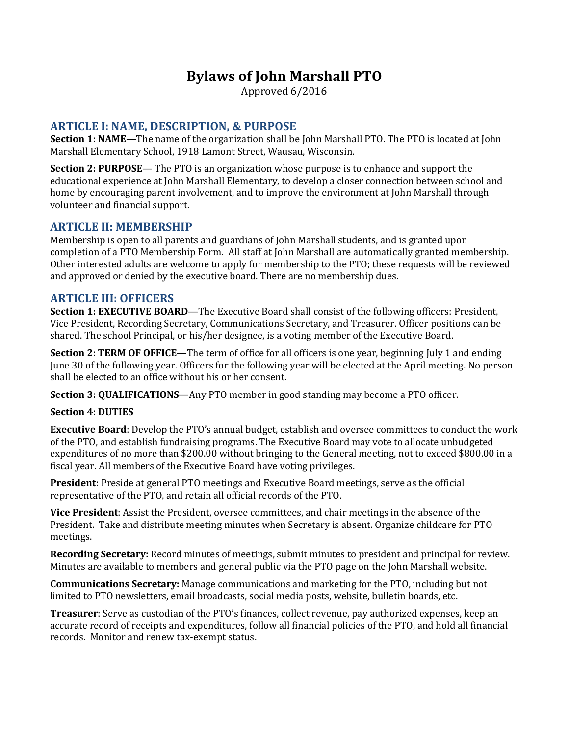# **Bylaws of John Marshall PTO**

Approved 6/2016

# **ARTICLE I: NAME, DESCRIPTION, & PURPOSE**

**Section 1: NAME**—The name of the organization shall be John Marshall PTO. The PTO is located at John Marshall Elementary School, 1918 Lamont Street, Wausau, Wisconsin.

**Section 2: PURPOSE**— The PTO is an organization whose purpose is to enhance and support the educational experience at John Marshall Elementary, to develop a closer connection between school and home by encouraging parent involvement, and to improve the environment at John Marshall through volunteer and financial support.

#### **ARTICLE II: MEMBERSHIP**

Membership is open to all parents and guardians of John Marshall students, and is granted upon completion of a PTO Membership Form. All staff at John Marshall are automatically granted membership. Other interested adults are welcome to apply for membership to the PTO; these requests will be reviewed and approved or denied by the executive board. There are no membership dues.

#### **ARTICLE III: OFFICERS**

**Section 1: EXECUTIVE BOARD—The Executive Board shall consist of the following officers: President,** Vice President, Recording Secretary, Communications Secretary, and Treasurer. Officer positions can be shared. The school Principal, or his/her designee, is a voting member of the Executive Board.

**Section 2: TERM OF OFFICE**—The term of office for all officers is one year, beginning July 1 and ending June 30 of the following year. Officers for the following year will be elected at the April meeting. No person shall be elected to an office without his or her consent.

**Section 3: QUALIFICATIONS**—Any PTO member in good standing may become a PTO officer.

#### **Section 4: DUTIES**

**Executive Board**: Develop the PTO's annual budget, establish and oversee committees to conduct the work of the PTO, and establish fundraising programs. The Executive Board may vote to allocate unbudgeted expenditures of no more than \$200.00 without bringing to the General meeting, not to exceed \$800.00 in a fiscal year. All members of the Executive Board have voting privileges.

**President:** Preside at general PTO meetings and Executive Board meetings, serve as the official representative of the PTO, and retain all official records of the PTO.

**Vice President**: Assist the President, oversee committees, and chair meetings in the absence of the President. Take and distribute meeting minutes when Secretary is absent. Organize childcare for PTO meetings.

**Recording Secretary:** Record minutes of meetings, submit minutes to president and principal for review. Minutes are available to members and general public via the PTO page on the John Marshall website.

**Communications Secretary:** Manage communications and marketing for the PTO, including but not limited to PTO newsletters, email broadcasts, social media posts, website, bulletin boards, etc.

**Treasurer**: Serve as custodian of the PTO's finances, collect revenue, pay authorized expenses, keep an accurate record of receipts and expenditures, follow all financial policies of the PTO, and hold all financial records. Monitor and renew tax-exempt status.